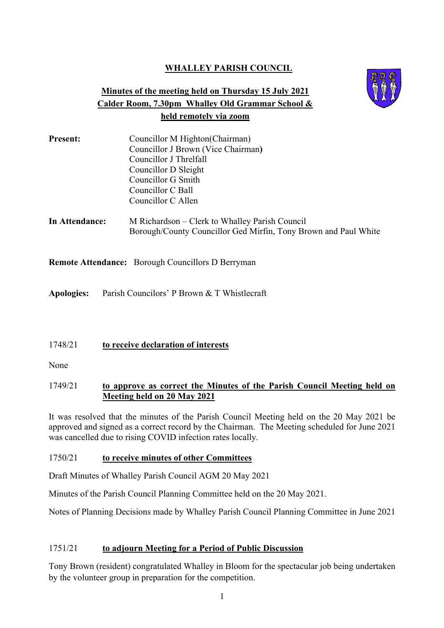# **WHALLEY PARISH COUNCIL**

# **Minutes of the meeting held on Thursday 15 July 2021 Calder Room, 7.30pm Whalley Old Grammar School & held remotely via zoom**



| <b>Present:</b> | Councillor M Highton (Chairman)    |
|-----------------|------------------------------------|
|                 | Councillor J Brown (Vice Chairman) |
|                 | Councillor J Threlfall             |
|                 | Councillor D Sleight               |
|                 | Councillor G Smith                 |
|                 | Councillor C Ball                  |
|                 | Councillor C Allen                 |
|                 |                                    |

**In Attendance:** M Richardson – Clerk to Whalley Parish Council Borough/County Councillor Ged Mirfin, Tony Brown and Paul White

**Remote Attendance:** Borough Councillors D Berryman

**Apologies:** Parish Councilors' P Brown & T Whistlecraft

# 1748/21 **to receive declaration of interests**

None

# 1749/21 **to approve as correct the Minutes of the Parish Council Meeting held on Meeting held on 20 May 2021**

It was resolved that the minutes of the Parish Council Meeting held on the 20 May 2021 be approved and signed as a correct record by the Chairman. The Meeting scheduled for June 2021 was cancelled due to rising COVID infection rates locally.

# 1750/21 **to receive minutes of other Committees**

Draft Minutes of Whalley Parish Council AGM 20 May 2021

Minutes of the Parish Council Planning Committee held on the 20 May 2021.

Notes of Planning Decisions made by Whalley Parish Council Planning Committee in June 2021

# 1751/21 **to adjourn Meeting for a Period of Public Discussion**

Tony Brown (resident) congratulated Whalley in Bloom for the spectacular job being undertaken by the volunteer group in preparation for the competition.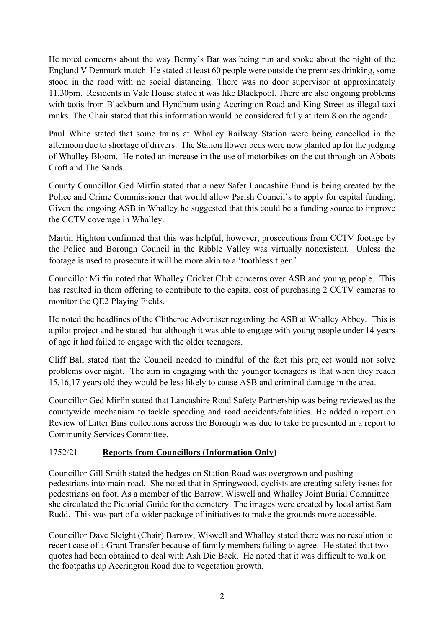He noted concerns about the way Benny's Bar was being run and spoke about the night of the England V Denmark match. He stated at least 60 people were outside the premises drinking, some stood in the road with no social distancing. There was no door supervisor at approximately 11.30pm. Residents in Vale House stated it was like Blackpool. There are also ongoing problems with taxis from Blackburn and Hyndburn using Accrington Road and King Street as illegal taxi ranks. The Chair stated that this information would be considered fully at item 8 on the agenda.

Paul White stated that some trains at Whalley Railway Station were being cancelled in the afternoon due to shortage of drivers. The Station flower beds were now planted up for the judging of Whalley Bloom. He noted an increase in the use of motorbikes on the cut through on Abbots Croft and The Sands.

County Councillor Ged Mirfin stated that a new Safer Lancashire Fund is being created by the Police and Crime Commissioner that would allow Parish Council's to apply for capital funding. Given the ongoing ASB in Whalley he suggested that this could be a funding source to improve the CCTV coverage in Whalley.

Martin Highton confirmed that this was helpful, however, prosecutions from CCTV footage by the Police and Borough Council in the Ribble Valley was virtually nonexistent. Unless the footage is used to prosecute it will be more akin to a 'toothless tiger.'

Councillor Mirfin noted that Whalley Cricket Club concerns over ASB and young people. This has resulted in them offering to contribute to the capital cost of purchasing 2 CCTV cameras to monitor the QE2 Playing Fields.

He noted the headlines of the Clitheroe Advertiser regarding the ASB at Whalley Abbey. This is a pilot project and he stated that although it was able to engage with young people under 14 years of age it had failed to engage with the older teenagers.

Cliff Ball stated that the Council needed to mindful of the fact this project would not solve problems over night. The aim in engaging with the younger teenagers is that when they reach 15,16,17 years old they would be less likely to cause ASB and criminal damage in the area.

Councillor Ged Mirfin stated that Lancashire Road Safety Partnership was being reviewed as the countywide mechanism to tackle speeding and road accidents/fatalities. He added a report on Review of Litter Bins collections across the Borough was due to take be presented in a report to Community Services Committee.

# 1752/21 **Reports from Councillors (Information Only)**

Councillor Gill Smith stated the hedges on Station Road was overgrown and pushing pedestrians into main road. She noted that in Springwood, cyclists are creating safety issues for pedestrians on foot. As a member of the Barrow, Wiswell and Whalley Joint Burial Committee she circulated the Pictorial Guide for the cemetery. The images were created by local artist Sam Rudd. This was part of a wider package of initiatives to make the grounds more accessible.

Councillor Dave Sleight (Chair) Barrow, Wiswell and Whalley stated there was no resolution to recent case of a Grant Transfer because of family members failing to agree. He stated that two quotes had been obtained to deal with Ash Die Back. He noted that it was difficult to walk on the footpaths up Accrington Road due to vegetation growth.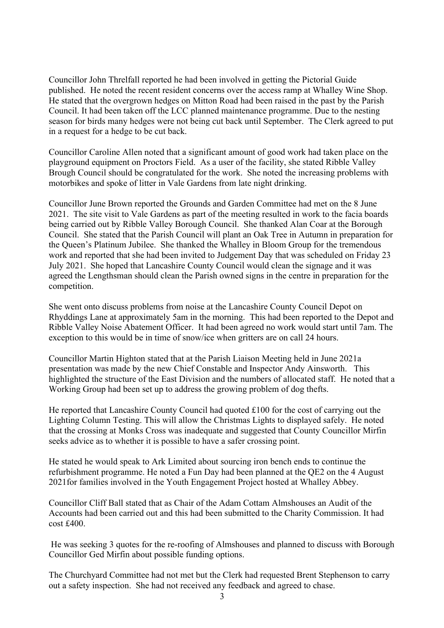Councillor John Threlfall reported he had been involved in getting the Pictorial Guide published. He noted the recent resident concerns over the access ramp at Whalley Wine Shop. He stated that the overgrown hedges on Mitton Road had been raised in the past by the Parish Council. It had been taken off the LCC planned maintenance programme. Due to the nesting season for birds many hedges were not being cut back until September. The Clerk agreed to put in a request for a hedge to be cut back.

Councillor Caroline Allen noted that a significant amount of good work had taken place on the playground equipment on Proctors Field. As a user of the facility, she stated Ribble Valley Brough Council should be congratulated for the work. She noted the increasing problems with motorbikes and spoke of litter in Vale Gardens from late night drinking.

Councillor June Brown reported the Grounds and Garden Committee had met on the 8 June 2021. The site visit to Vale Gardens as part of the meeting resulted in work to the facia boards being carried out by Ribble Valley Borough Council. She thanked Alan Coar at the Borough Council. She stated that the Parish Council will plant an Oak Tree in Autumn in preparation for the Queen's Platinum Jubilee. She thanked the Whalley in Bloom Group for the tremendous work and reported that she had been invited to Judgement Day that was scheduled on Friday 23 July 2021. She hoped that Lancashire County Council would clean the signage and it was agreed the Lengthsman should clean the Parish owned signs in the centre in preparation for the competition.

She went onto discuss problems from noise at the Lancashire County Council Depot on Rhyddings Lane at approximately 5am in the morning. This had been reported to the Depot and Ribble Valley Noise Abatement Officer. It had been agreed no work would start until 7am. The exception to this would be in time of snow/ice when gritters are on call 24 hours.

Councillor Martin Highton stated that at the Parish Liaison Meeting held in June 2021a presentation was made by the new Chief Constable and Inspector Andy Ainsworth. This highlighted the structure of the East Division and the numbers of allocated staff. He noted that a Working Group had been set up to address the growing problem of dog thefts.

He reported that Lancashire County Council had quoted £100 for the cost of carrying out the Lighting Column Testing. This will allow the Christmas Lights to displayed safely. He noted that the crossing at Monks Cross was inadequate and suggested that County Councillor Mirfin seeks advice as to whether it is possible to have a safer crossing point.

He stated he would speak to Ark Limited about sourcing iron bench ends to continue the refurbishment programme. He noted a Fun Day had been planned at the QE2 on the 4 August 2021for families involved in the Youth Engagement Project hosted at Whalley Abbey.

Councillor Cliff Ball stated that as Chair of the Adam Cottam Almshouses an Audit of the Accounts had been carried out and this had been submitted to the Charity Commission. It had cost £400.

He was seeking 3 quotes for the re-roofing of Almshouses and planned to discuss with Borough Councillor Ged Mirfin about possible funding options.

The Churchyard Committee had not met but the Clerk had requested Brent Stephenson to carry out a safety inspection. She had not received any feedback and agreed to chase.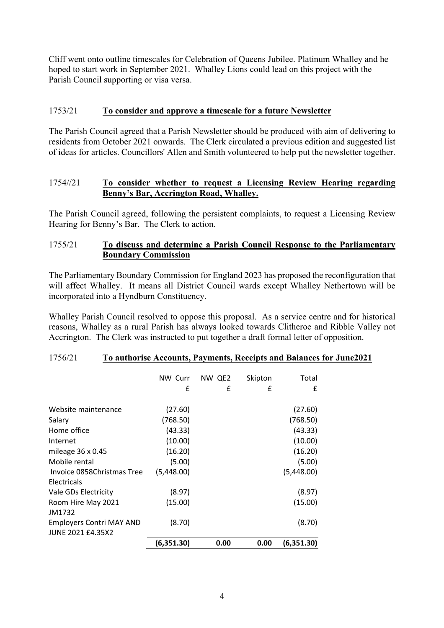Cliff went onto outline timescales for Celebration of Queens Jubilee. Platinum Whalley and he hoped to start work in September 2021. Whalley Lions could lead on this project with the Parish Council supporting or visa versa.

# 1753/21 **To consider and approve a timescale for a future Newsletter**

The Parish Council agreed that a Parish Newsletter should be produced with aim of delivering to residents from October 2021 onwards. The Clerk circulated a previous edition and suggested list of ideas for articles. Councillors' Allen and Smith volunteered to help put the newsletter together.

## 1754//21 **To consider whether to request a Licensing Review Hearing regarding Benny's Bar, Accrington Road, Whalley.**

The Parish Council agreed, following the persistent complaints, to request a Licensing Review Hearing for Benny's Bar. The Clerk to action.

## 1755/21 **To discuss and determine a Parish Council Response to the Parliamentary Boundary Commission**

The Parliamentary Boundary Commission for England 2023 has proposed the reconfiguration that will affect Whalley. It means all District Council wards except Whalley Nethertown will be incorporated into a Hyndburn Constituency.

Whalley Parish Council resolved to oppose this proposal. As a service centre and for historical reasons, Whalley as a rural Parish has always looked towards Clitheroe and Ribble Valley not Accrington. The Clerk was instructed to put together a draft formal letter of opposition.

|                                                             | NW Curr    | NW QE2 | Skipton | Total      |
|-------------------------------------------------------------|------------|--------|---------|------------|
|                                                             | £          | £      | £       | £          |
| Website maintenance                                         | (27.60)    |        |         | (27.60)    |
| Salary                                                      | (768.50)   |        |         | (768.50)   |
| Home office                                                 | (43.33)    |        |         | (43.33)    |
| Internet                                                    | (10.00)    |        |         | (10.00)    |
| mileage $36 \times 0.45$                                    | (16.20)    |        |         | (16.20)    |
| Mobile rental                                               | (5.00)     |        |         | (5.00)     |
| Invoice 0858 Christmas Tree                                 | (5,448.00) |        |         | (5,448.00) |
| Electricals                                                 |            |        |         |            |
| Vale GDs Electricity                                        | (8.97)     |        |         | (8.97)     |
| Room Hire May 2021<br>JM1732                                | (15.00)    |        |         | (15.00)    |
| <b>Employers Contri MAY AND</b><br><b>JUNE 2021 £4.35X2</b> | (8.70)     |        |         | (8.70)     |
|                                                             | (6,351.30) | 0.00   | 0.00    | (6,351.30) |

#### 1756/21 **To authorise Accounts, Payments, Receipts and Balances for June2021**